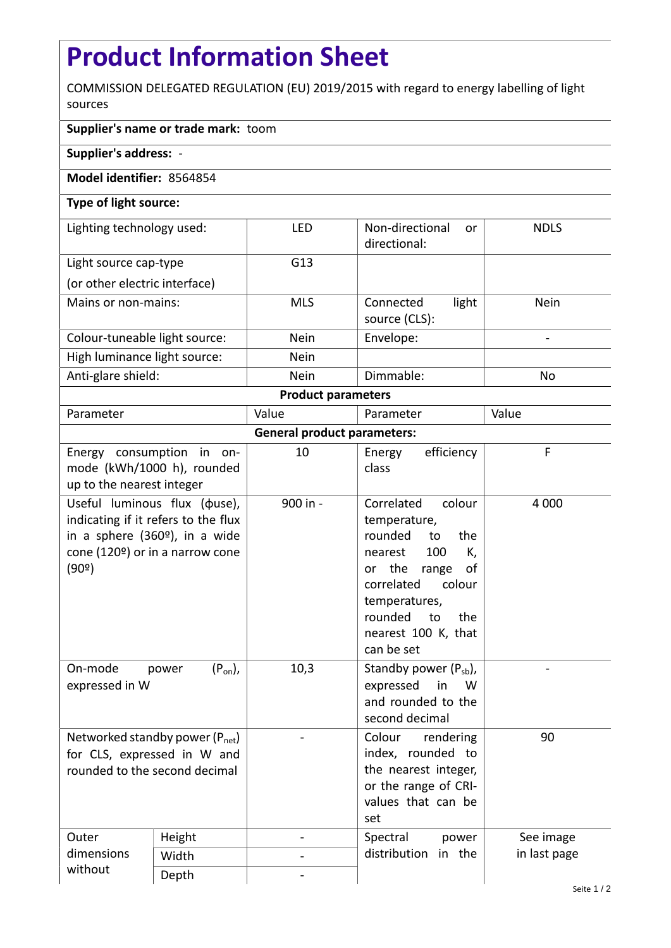## **Product Information Sheet**

COMMISSION DELEGATED REGULATION (EU) 2019/2015 with regard to energy labelling of light sources

## **Supplier's name or trade mark:** toom

**Supplier's address:** -

## **Model identifier:** 8564854

## **Type of light source:**

| Lighting technology used:     | LED         | Non-directional<br>or<br>directional: | <b>NDLS</b> |  |  |  |
|-------------------------------|-------------|---------------------------------------|-------------|--|--|--|
| Light source cap-type         | G13         |                                       |             |  |  |  |
| (or other electric interface) |             |                                       |             |  |  |  |
| Mains or non-mains:           | <b>MLS</b>  | light<br>Connected<br>source (CLS):   | Nein        |  |  |  |
| Colour-tuneable light source: | <b>Nein</b> | Envelope:                             |             |  |  |  |
| High luminance light source:  | <b>Nein</b> |                                       |             |  |  |  |
| Anti-glare shield:            | <b>Nein</b> | Dimmable:                             | No          |  |  |  |
| <b>Product parameters</b>     |             |                                       |             |  |  |  |

| Parameter                                                    |                                                                                                                                                             | Value    | Parameter                                                                                                                                                                                                           | Value        |  |  |
|--------------------------------------------------------------|-------------------------------------------------------------------------------------------------------------------------------------------------------------|----------|---------------------------------------------------------------------------------------------------------------------------------------------------------------------------------------------------------------------|--------------|--|--|
| <b>General product parameters:</b>                           |                                                                                                                                                             |          |                                                                                                                                                                                                                     |              |  |  |
| up to the nearest integer                                    | Energy consumption in on-<br>mode (kWh/1000 h), rounded                                                                                                     | 10       | efficiency<br>Energy<br>class                                                                                                                                                                                       | F            |  |  |
| (90°)                                                        | Useful luminous flux ( $\phi$ use),<br>indicating if it refers to the flux<br>in a sphere (360 <sup>o</sup> ), in a wide<br>cone (120º) or in a narrow cone | 900 in - | Correlated<br>colour<br>temperature,<br>rounded<br>the<br>to<br>100<br>К,<br>nearest<br>or the<br>range<br>οf<br>correlated<br>colour<br>temperatures,<br>rounded<br>to<br>the<br>nearest 100 K, that<br>can be set | 4 0 0 0      |  |  |
| On-mode<br>expressed in W                                    | $(P_{on})$ ,<br>power                                                                                                                                       | 10,3     | Standby power $(P_{sb})$ ,<br>expressed<br>in<br>W<br>and rounded to the<br>second decimal                                                                                                                          |              |  |  |
| for CLS, expressed in W and<br>rounded to the second decimal | Networked standby power $(P_{net})$                                                                                                                         |          | Colour<br>rendering<br>index, rounded to<br>the nearest integer,<br>or the range of CRI-<br>values that can be<br>set                                                                                               | 90           |  |  |
| Outer<br>dimensions<br>without                               | Height                                                                                                                                                      |          | Spectral<br>power                                                                                                                                                                                                   | See image    |  |  |
|                                                              | Width                                                                                                                                                       |          | distribution<br>in the                                                                                                                                                                                              | in last page |  |  |
|                                                              | Depth                                                                                                                                                       |          |                                                                                                                                                                                                                     |              |  |  |